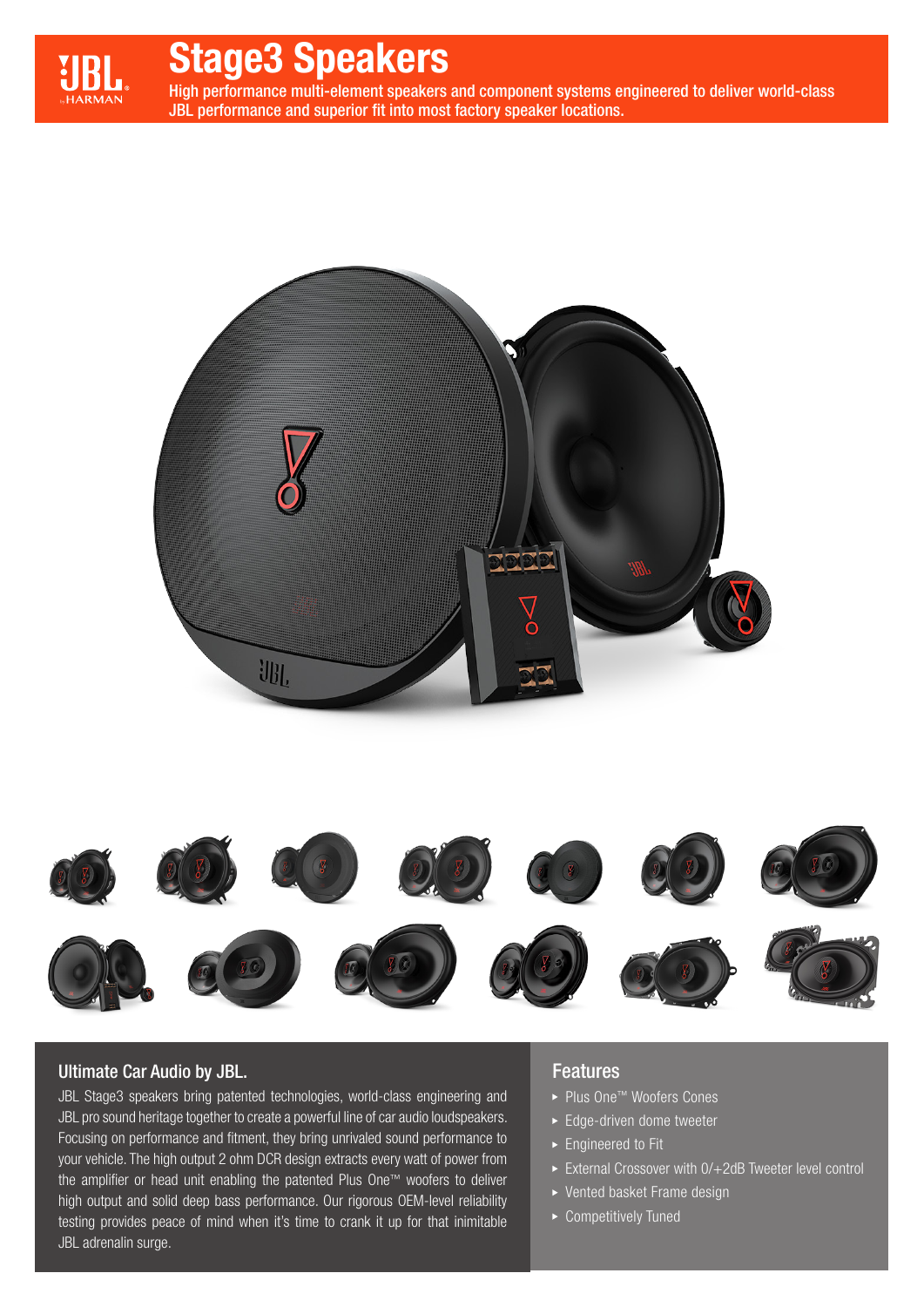

# Stage3 Speakers

High performance multi-element speakers and component systems engineered to deliver world-class JBL performance and superior fit into most factory speaker locations.





# Ultimate Car Audio by JBL.

JBL Stage3 speakers bring patented technologies, world-class engineering and JBL pro sound heritage together to create a powerful line of car audio loudspeakers. Focusing on performance and fitment, they bring unrivaled sound performance to your vehicle. The high output 2 ohm DCR design extracts every watt of power from the amplifier or head unit enabling the patented Plus One™ woofers to deliver high output and solid deep bass performance. Our rigorous OEM-level reliability testing provides peace of mind when it's time to crank it up for that inimitable JBL adrenalin surge.

# Features

- ► Plus One<sup>™</sup> Woofers Cones
- ► Edge-driven dome tweeter
- ► Engineered to Fit
- External Crossover with 0/+2dB Tweeter level control
- Vented basket Frame design
- ▶ Competitively Tuned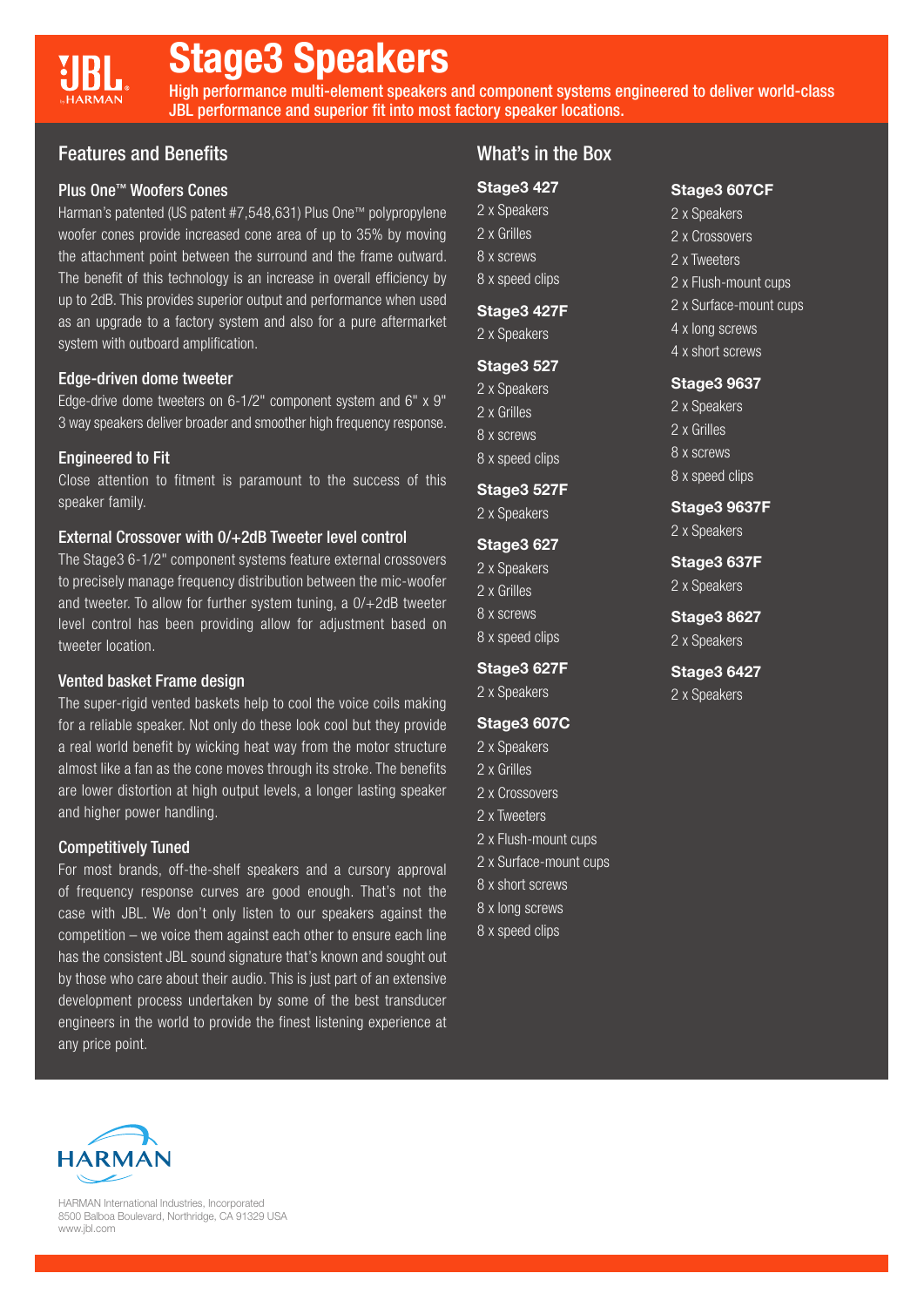# Stage3 Speakers

High performance multi-element speakers and component systems engineered to deliver world-class JBL performance and superior fit into most factory speaker locations.

# Features and Benefits

### Plus One™ Woofers Cones

Harman's patented (US patent #7,548,631) Plus One™ polypropylene woofer cones provide increased cone area of up to 35% by moving the attachment point between the surround and the frame outward. The benefit of this technology is an increase in overall efficiency by up to 2dB. This provides superior output and performance when used as an upgrade to a factory system and also for a pure aftermarket system with outboard amplification.

### Edge-driven dome tweeter

Edge-drive dome tweeters on 6-1/2" component system and 6" x 9" 3 way speakers deliver broader and smoother high frequency response.

### Engineered to Fit

Close attention to fitment is paramount to the success of this speaker family.

#### External Crossover with 0/+2dB Tweeter level control

The Stage3 6-1/2" component systems feature external crossovers to precisely manage frequency distribution between the mic-woofer and tweeter. To allow for further system tuning, a 0/+2dB tweeter level control has been providing allow for adjustment based on tweeter location.

#### Vented basket Frame design

The super-rigid vented baskets help to cool the voice coils making for a reliable speaker. Not only do these look cool but they provide a real world benefit by wicking heat way from the motor structure almost like a fan as the cone moves through its stroke. The benefits are lower distortion at high output levels, a longer lasting speaker and higher power handling.

#### Competitively Tuned

For most brands, off-the-shelf speakers and a cursory approval of frequency response curves are good enough. That's not the case with JBL. We don't only listen to our speakers against the competition – we voice them against each other to ensure each line has the consistent JBL sound signature that's known and sought out by those who care about their audio. This is just part of an extensive development process undertaken by some of the best transducer engineers in the world to provide the finest listening experience at any price point.

# What's in the Box

Stage3 607CF 2 x Speakers 2 x Crossovers 2 x Tweeters

2 x Flush-mount cups 2 x Surface-mount cups

4 x long screws 4 x short screws

Stage3 9637 2 x Speakers 2 x Grilles 8 x screws 8 x speed clips

Stage3 9637F 2 x Speakers

Stage3 637F 2 x Speakers

Stage3 8627 2 x Speakers

Stage3 6427 2 x Speakers

## Stage3 427

- 2 x Speakers 2 x Grilles
- 8 x screws
- 8 x speed clips

#### Stage3 427F

2 x Speakers

#### **Stage3 527**

- 2 x Speakers
- 2 x Grilles
- 8 x screws
- 8 x speed clips

## Stage3 527F

2 x Speakers

#### Stage3 627

- 2 x Speakers 2 x Grilles 8 x screws
- 8 x speed clips

#### Stage3 627F

2 x Speakers

#### Stage3 607C

- 2 x Speakers
- 2 x Grilles
- 2 x Crossovers
- 2 x Tweeters
- 2 x Flush-mount cups
- 2 x Surface-mount cups
- 8 x short screws
- 8 x long screws
- 8 x speed clips



HARMAN International Industries, Incorporated 8500 Balboa Boulevard, Northridge, CA 91329 USA www.jbl.com